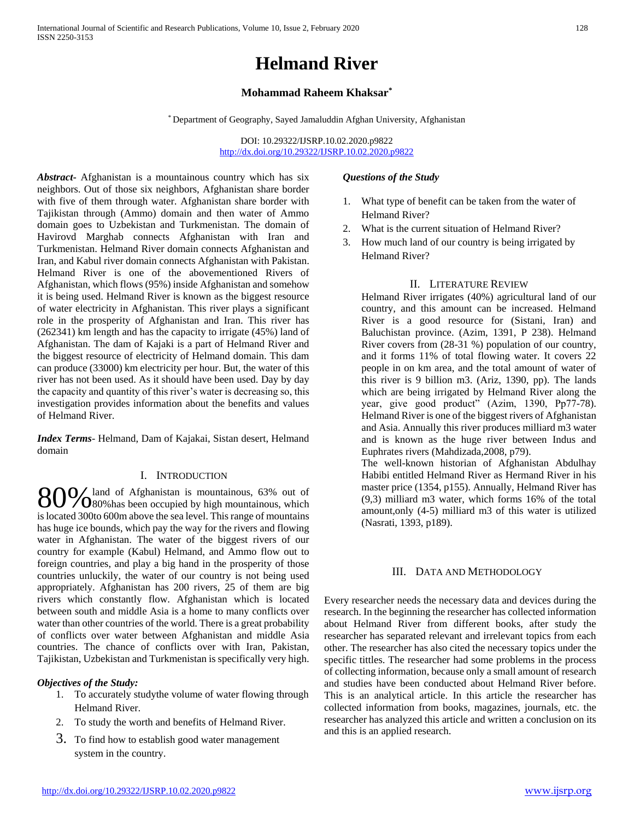# **Helmand River**

## **Mohammad Raheem Khaksar\***

\* Department of Geography, Sayed Jamaluddin Afghan University, Afghanistan

DOI: 10.29322/IJSRP.10.02.2020.p9822 <http://dx.doi.org/10.29322/IJSRP.10.02.2020.p9822>

*Abstract***-** Afghanistan is a mountainous country which has six neighbors. Out of those six neighbors, Afghanistan share border with five of them through water. Afghanistan share border with Tajikistan through (Ammo) domain and then water of Ammo domain goes to Uzbekistan and Turkmenistan. The domain of Havirovd Marghab connects Afghanistan with Iran and Turkmenistan. Helmand River domain connects Afghanistan and Iran, and Kabul river domain connects Afghanistan with Pakistan. Helmand River is one of the abovementioned Rivers of Afghanistan, which flows (95%) inside Afghanistan and somehow it is being used. Helmand River is known as the biggest resource of water electricity in Afghanistan. This river plays a significant role in the prosperity of Afghanistan and Iran. This river has (262341) km length and has the capacity to irrigate (45%) land of Afghanistan. The dam of Kajaki is a part of Helmand River and the biggest resource of electricity of Helmand domain. This dam can produce (33000) km electricity per hour. But, the water of this river has not been used. As it should have been used. Day by day the capacity and quantity of this river's water is decreasing so, this investigation provides information about the benefits and values of Helmand River.

*Index Terms*- Helmand, Dam of Kajakai, Sistan desert, Helmand domain

## I. INTRODUCTION

land of Afghanistan is mountainous, 63% out of 80% land of Afghanistan is mountainous, 63% out of 80% has been occupied by high mountainous, which is located 300to 600m above the sea level. This range of mountains has huge ice bounds, which pay the way for the rivers and flowing water in Afghanistan. The water of the biggest rivers of our country for example (Kabul) Helmand, and Ammo flow out to foreign countries, and play a big hand in the prosperity of those countries unluckily, the water of our country is not being used appropriately. Afghanistan has 200 rivers, 25 of them are big rivers which constantly flow. Afghanistan which is located between south and middle Asia is a home to many conflicts over water than other countries of the world. There is a great probability of conflicts over water between Afghanistan and middle Asia countries. The chance of conflicts over with Iran, Pakistan, Tajikistan, Uzbekistan and Turkmenistan is specifically very high.

## *Objectives of the Study:*

- 1. To accurately studythe volume of water flowing through Helmand River.
- 2. To study the worth and benefits of Helmand River.
- 3. To find how to establish good water management system in the country.

## *Questions of the Study*

- 1. What type of benefit can be taken from the water of Helmand River?
- 2. What is the current situation of Helmand River?
- 3. How much land of our country is being irrigated by Helmand River?

## II. LITERATURE REVIEW

Helmand River irrigates (40%) agricultural land of our country, and this amount can be increased. Helmand River is a good resource for (Sistani, Iran) and Baluchistan province. (Azim, 1391, P 238). Helmand River covers from (28-31 %) population of our country, and it forms 11% of total flowing water. It covers 22 people in on km area, and the total amount of water of this river is 9 billion m3. (Ariz, 1390, pp). The lands which are being irrigated by Helmand River along the year, give good product" (Azim, 1390, Pp77-78). Helmand River is one of the biggest rivers of Afghanistan and Asia. Annually this river produces milliard m3 water and is known as the huge river between Indus and Euphrates rivers (Mahdizada,2008, p79).

The well-known historian of Afghanistan Abdulhay Habibi entitled Helmand River as Hermand River in his master price (1354, p155). Annually, Helmand River has (9,3) milliard m3 water, which forms 16% of the total amount,only (4-5) milliard m3 of this water is utilized (Nasrati, 1393, p189).

## III. DATA AND METHODOLOGY

Every researcher needs the necessary data and devices during the research. In the beginning the researcher has collected information about Helmand River from different books, after study the researcher has separated relevant and irrelevant topics from each other. The researcher has also cited the necessary topics under the specific tittles. The researcher had some problems in the process of collecting information, because only a small amount of research and studies have been conducted about Helmand River before. This is an analytical article. In this article the researcher has collected information from books, magazines, journals, etc. the researcher has analyzed this article and written a conclusion on its and this is an applied research.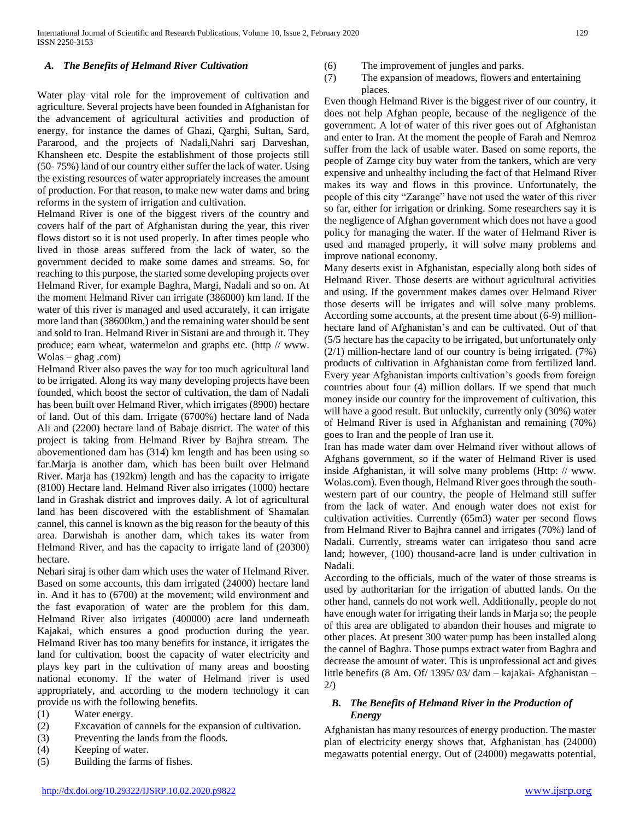### *A. The Benefits of Helmand River Cultivation*

Water play vital role for the improvement of cultivation and agriculture. Several projects have been founded in Afghanistan for the advancement of agricultural activities and production of energy, for instance the dames of Ghazi, Qarghi, Sultan, Sard, Pararood, and the projects of Nadali,Nahri sarj Darveshan, Khansheen etc. Despite the establishment of those projects still (50- 75%) land of our country either suffer the lack of water. Using the existing resources of water appropriately increases the amount of production. For that reason, to make new water dams and bring reforms in the system of irrigation and cultivation.

Helmand River is one of the biggest rivers of the country and covers half of the part of Afghanistan during the year, this river flows distort so it is not used properly. In after times people who lived in those areas suffered from the lack of water, so the government decided to make some dames and streams. So, for reaching to this purpose, the started some developing projects over Helmand River, for example Baghra, Margi, Nadali and so on. At the moment Helmand River can irrigate (386000) km land. If the water of this river is managed and used accurately, it can irrigate more land than (38600km,) and the remaining water should be sent and sold to Iran. Helmand River in Sistani are and through it. They produce; earn wheat, watermelon and graphs etc. (http // www. Wolas – ghag .com)

Helmand River also paves the way for too much agricultural land to be irrigated. Along its way many developing projects have been founded, which boost the sector of cultivation, the dam of Nadali has been built over Helmand River, which irrigates (8900) hectare of land. Out of this dam. Irrigate (6700%) hectare land of Nada Ali and (2200) hectare land of Babaje district. The water of this project is taking from Helmand River by Bajhra stream. The abovementioned dam has (314) km length and has been using so far.Marja is another dam, which has been built over Helmand River. Marja has (192km) length and has the capacity to irrigate (8100) Hectare land. Helmand River also irrigates (1000) hectare land in Grashak district and improves daily. A lot of agricultural land has been discovered with the establishment of Shamalan cannel, this cannel is known as the big reason for the beauty of this area. Darwishah is another dam, which takes its water from Helmand River, and has the capacity to irrigate land of (20300) hectare.

Nehari siraj is other dam which uses the water of Helmand River. Based on some accounts, this dam irrigated (24000) hectare land in. And it has to (6700) at the movement; wild environment and the fast evaporation of water are the problem for this dam. Helmand River also irrigates (400000) acre land underneath Kajakai, which ensures a good production during the year. Helmand River has too many benefits for instance, it irrigates the land for cultivation, boost the capacity of water electricity and plays key part in the cultivation of many areas and boosting national economy. If the water of Helmand |river is used appropriately, and according to the modern technology it can provide us with the following benefits.

- (1) Water energy.
- (2) Excavation of cannels for the expansion of cultivation.
- (3) Preventing the lands from the floods.
- (4) Keeping of water.
- (5) Building the farms of fishes.
- (6) The improvement of jungles and parks.
- (7) The expansion of meadows, flowers and entertaining places.

Even though Helmand River is the biggest river of our country, it does not help Afghan people, because of the negligence of the government. A lot of water of this river goes out of Afghanistan and enter to Iran. At the moment the people of Farah and Nemroz suffer from the lack of usable water. Based on some reports, the people of Zarnge city buy water from the tankers, which are very expensive and unhealthy including the fact of that Helmand River makes its way and flows in this province. Unfortunately, the people of this city "Zarange" have not used the water of this river so far, either for irrigation or drinking. Some researchers say it is the negligence of Afghan government which does not have a good policy for managing the water. If the water of Helmand River is used and managed properly, it will solve many problems and improve national economy.

Many deserts exist in Afghanistan, especially along both sides of Helmand River. Those deserts are without agricultural activities and using. If the government makes dames over Helmand River those deserts will be irrigates and will solve many problems. According some accounts, at the present time about (6-9) millionhectare land of Afghanistan's and can be cultivated. Out of that (5/5 hectare has the capacity to be irrigated, but unfortunately only (2/1) million-hectare land of our country is being irrigated. (7%) products of cultivation in Afghanistan come from fertilized land. Every year Afghanistan imports cultivation's goods from foreign countries about four (4) million dollars. If we spend that much money inside our country for the improvement of cultivation, this will have a good result. But unluckily, currently only (30%) water of Helmand River is used in Afghanistan and remaining (70%) goes to Iran and the people of Iran use it.

Iran has made water dam over Helmand river without allows of Afghans government, so if the water of Helmand River is used inside Afghanistan, it will solve many problems (Http: // www. Wolas.com). Even though, Helmand River goes through the southwestern part of our country, the people of Helmand still suffer from the lack of water. And enough water does not exist for cultivation activities. Currently (65m3) water per second flows from Helmand River to Bajhra cannel and irrigates (70%) land of Nadali. Currently, streams water can irrigateso thou sand acre land; however, (100) thousand-acre land is under cultivation in Nadali.

According to the officials, much of the water of those streams is used by authoritarian for the irrigation of abutted lands. On the other hand, cannels do not work well. Additionally, people do not have enough water for irrigating their lands in Marja so; the people of this area are obligated to abandon their houses and migrate to other places. At present 300 water pump has been installed along the cannel of Baghra. Those pumps extract water from Baghra and decrease the amount of water. This is unprofessional act and gives little benefits (8 Am. Of/ 1395/ 03/ dam – kajakai- Afghanistan –  $2/$ 

## *B. The Benefits of Helmand River in the Production of Energy*

Afghanistan has many resources of energy production. The master plan of electricity energy shows that, Afghanistan has (24000) megawatts potential energy. Out of (24000) megawatts potential,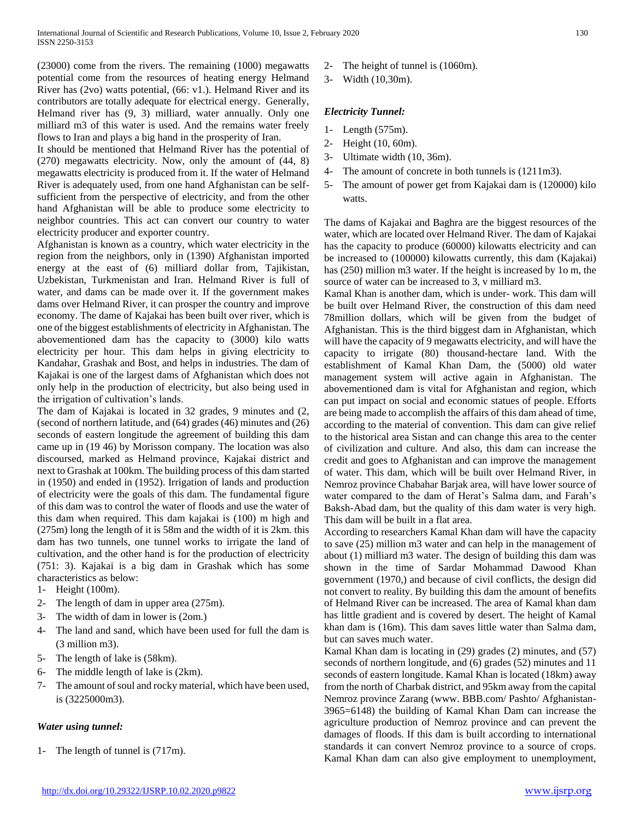(23000) come from the rivers. The remaining (1000) megawatts potential come from the resources of heating energy Helmand River has (2vo) watts potential, (66: v1.). Helmand River and its contributors are totally adequate for electrical energy. Generally, Helmand river has (9, 3) milliard, water annually. Only one milliard m3 of this water is used. And the remains water freely flows to Iran and plays a big hand in the prosperity of Iran.

It should be mentioned that Helmand River has the potential of (270) megawatts electricity. Now, only the amount of (44, 8) megawatts electricity is produced from it. If the water of Helmand River is adequately used, from one hand Afghanistan can be selfsufficient from the perspective of electricity, and from the other hand Afghanistan will be able to produce some electricity to neighbor countries. This act can convert our country to water electricity producer and exporter country.

Afghanistan is known as a country, which water electricity in the region from the neighbors, only in (1390) Afghanistan imported energy at the east of (6) milliard dollar from, Tajikistan, Uzbekistan, Turkmenistan and Iran. Helmand River is full of water, and dams can be made over it. If the government makes dams over Helmand River, it can prosper the country and improve economy. The dame of Kajakai has been built over river, which is one of the biggest establishments of electricity in Afghanistan. The abovementioned dam has the capacity to (3000) kilo watts electricity per hour. This dam helps in giving electricity to Kandahar, Grashak and Bost, and helps in industries. The dam of Kajakai is one of the largest dams of Afghanistan which does not only help in the production of electricity, but also being used in the irrigation of cultivation's lands.

The dam of Kajakai is located in 32 grades, 9 minutes and (2, (second of northern latitude, and (64) grades (46) minutes and (26) seconds of eastern longitude the agreement of building this dam came up in (19 46) by Morisson company. The location was also discoursed, marked as Helmand province, Kajakai district and next to Grashak at 100km. The building process of this dam started in (1950) and ended in (1952). Irrigation of lands and production of electricity were the goals of this dam. The fundamental figure of this dam was to control the water of floods and use the water of this dam when required. This dam kajakai is (100) m high and (275m) long the length of it is 58m and the width of it is 2km. this dam has two tunnels, one tunnel works to irrigate the land of cultivation, and the other hand is for the production of electricity (751: 3). Kajakai is a big dam in Grashak which has some characteristics as below:

- 1- Height (100m).
- 2- The length of dam in upper area (275m).
- 3- The width of dam in lower is (2om.)
- 4- The land and sand, which have been used for full the dam is (3 million m3).
- 5- The length of lake is (58km).
- 6- The middle length of lake is (2km).
- 7- The amount of soul and rocky material, which have been used, is (3225000m3).

# *Water using tunnel:*

1- The length of tunnel is (717m).

- 2- The height of tunnel is (1060m).
- 3- Width (10,30m).

# *Electricity Tunnel:*

- 1- Length (575m).
- 2- Height (10, 60m).
- 3- Ultimate width (10, 36m).
- 4- The amount of concrete in both tunnels is (1211m3).
- 5- The amount of power get from Kajakai dam is (120000) kilo watts.

The dams of Kajakai and Baghra are the biggest resources of the water, which are located over Helmand River. The dam of Kajakai has the capacity to produce (60000) kilowatts electricity and can be increased to (100000) kilowatts currently, this dam (Kajakai) has (250) million m3 water. If the height is increased by 1o m, the source of water can be increased to 3, v milliard m3.

Kamal Khan is another dam, which is under- work. This dam will be built over Helmand River, the construction of this dam need 78million dollars, which will be given from the budget of Afghanistan. This is the third biggest dam in Afghanistan, which will have the capacity of 9 megawatts electricity, and will have the capacity to irrigate (80) thousand-hectare land. With the establishment of Kamal Khan Dam, the (5000) old water management system will active again in Afghanistan. The abovementioned dam is vital for Afghanistan and region, which can put impact on social and economic statues of people. Efforts are being made to accomplish the affairs of this dam ahead of time, according to the material of convention. This dam can give relief to the historical area Sistan and can change this area to the center of civilization and culture. And also, this dam can increase the credit and goes to Afghanistan and can improve the management of water. This dam, which will be built over Helmand River, in Nemroz province Chabahar Barjak area, will have lower source of water compared to the dam of Herat's Salma dam, and Farah's Baksh-Abad dam, but the quality of this dam water is very high. This dam will be built in a flat area.

According to researchers Kamal Khan dam will have the capacity to save (25) million m3 water and can help in the management of about (1) milliard m3 water. The design of building this dam was shown in the time of Sardar Mohammad Dawood Khan government (1970,) and because of civil conflicts, the design did not convert to reality. By building this dam the amount of benefits of Helmand River can be increased. The area of Kamal khan dam has little gradient and is covered by desert. The height of Kamal khan dam is (16m). This dam saves little water than Salma dam, but can saves much water.

Kamal Khan dam is locating in (29) grades (2) minutes, and (57) seconds of northern longitude, and (6) grades (52) minutes and 11 seconds of eastern longitude. Kamal Khan is located (18km) away from the north of Charbak district, and 95km away from the capital Nemroz province Zarang (www. BBB.com/ Pashto/ Afghanistan-3965=6148) the building of Kamal Khan Dam can increase the agriculture production of Nemroz province and can prevent the damages of floods. If this dam is built according to international standards it can convert Nemroz province to a source of crops. Kamal Khan dam can also give employment to unemployment,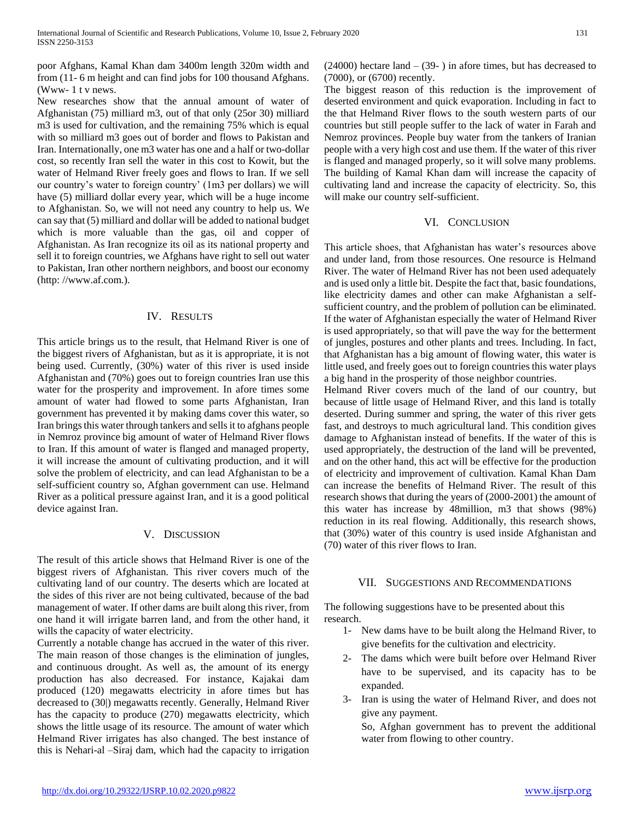poor Afghans, Kamal Khan dam 3400m length 320m width and from (11- 6 m height and can find jobs for 100 thousand Afghans. (Www- 1 t v news.

New researches show that the annual amount of water of Afghanistan (75) milliard m3, out of that only (25or 30) milliard m3 is used for cultivation, and the remaining 75% which is equal with so milliard m3 goes out of border and flows to Pakistan and Iran. Internationally, one m3 water has one and a half or two-dollar cost, so recently Iran sell the water in this cost to Kowit, but the water of Helmand River freely goes and flows to Iran. If we sell our country's water to foreign country' (1m3 per dollars) we will have (5) milliard dollar every year, which will be a huge income to Afghanistan. So, we will not need any country to help us. We can say that (5) milliard and dollar will be added to national budget which is more valuable than the gas, oil and copper of Afghanistan. As Iran recognize its oil as its national property and sell it to foreign countries, we Afghans have right to sell out water to Pakistan, Iran other northern neighbors, and boost our economy (http: //www.af.com.).

## IV. RESULTS

This article brings us to the result, that Helmand River is one of the biggest rivers of Afghanistan, but as it is appropriate, it is not being used. Currently, (30%) water of this river is used inside Afghanistan and (70%) goes out to foreign countries Iran use this water for the prosperity and improvement. In afore times some amount of water had flowed to some parts Afghanistan, Iran government has prevented it by making dams cover this water, so Iran brings this water through tankers and sells it to afghans people in Nemroz province big amount of water of Helmand River flows to Iran. If this amount of water is flanged and managed property, it will increase the amount of cultivating production, and it will solve the problem of electricity, and can lead Afghanistan to be a self-sufficient country so, Afghan government can use. Helmand River as a political pressure against Iran, and it is a good political device against Iran.

## V. DISCUSSION

The result of this article shows that Helmand River is one of the biggest rivers of Afghanistan. This river covers much of the cultivating land of our country. The deserts which are located at the sides of this river are not being cultivated, because of the bad management of water. If other dams are built along this river, from one hand it will irrigate barren land, and from the other hand, it wills the capacity of water electricity.

Currently a notable change has accrued in the water of this river. The main reason of those changes is the elimination of jungles, and continuous drought. As well as, the amount of its energy production has also decreased. For instance, Kajakai dam produced (120) megawatts electricity in afore times but has decreased to (30|) megawatts recently. Generally, Helmand River has the capacity to produce (270) megawatts electricity, which shows the little usage of its resource. The amount of water which Helmand River irrigates has also changed. The best instance of this is Nehari-al –Siraj dam, which had the capacity to irrigation  $(24000)$  hectare land  $- (39-)$  in afore times, but has decreased to (7000), or (6700) recently.

The biggest reason of this reduction is the improvement of deserted environment and quick evaporation. Including in fact to the that Helmand River flows to the south western parts of our countries but still people suffer to the lack of water in Farah and Nemroz provinces. People buy water from the tankers of Iranian people with a very high cost and use them. If the water of this river is flanged and managed properly, so it will solve many problems. The building of Kamal Khan dam will increase the capacity of cultivating land and increase the capacity of electricity. So, this will make our country self-sufficient.

## VI. CONCLUSION

This article shoes, that Afghanistan has water's resources above and under land, from those resources. One resource is Helmand River. The water of Helmand River has not been used adequately and is used only a little bit. Despite the fact that, basic foundations, like electricity dames and other can make Afghanistan a selfsufficient country, and the problem of pollution can be eliminated. If the water of Afghanistan especially the water of Helmand River is used appropriately, so that will pave the way for the betterment of jungles, postures and other plants and trees. Including. In fact, that Afghanistan has a big amount of flowing water, this water is little used, and freely goes out to foreign countries this water plays a big hand in the prosperity of those neighbor countries.

Helmand River covers much of the land of our country, but because of little usage of Helmand River, and this land is totally deserted. During summer and spring, the water of this river gets fast, and destroys to much agricultural land. This condition gives damage to Afghanistan instead of benefits. If the water of this is used appropriately, the destruction of the land will be prevented, and on the other hand, this act will be effective for the production of electricity and improvement of cultivation. Kamal Khan Dam can increase the benefits of Helmand River. The result of this research shows that during the years of (2000-2001) the amount of this water has increase by 48million, m3 that shows (98%) reduction in its real flowing. Additionally, this research shows, that (30%) water of this country is used inside Afghanistan and (70) water of this river flows to Iran.

## VII. SUGGESTIONS AND RECOMMENDATIONS

The following suggestions have to be presented about this research.

- 1- New dams have to be built along the Helmand River, to give benefits for the cultivation and electricity.
- 2- The dams which were built before over Helmand River have to be supervised, and its capacity has to be expanded.
- 3- Iran is using the water of Helmand River, and does not give any payment.

So, Afghan government has to prevent the additional water from flowing to other country.